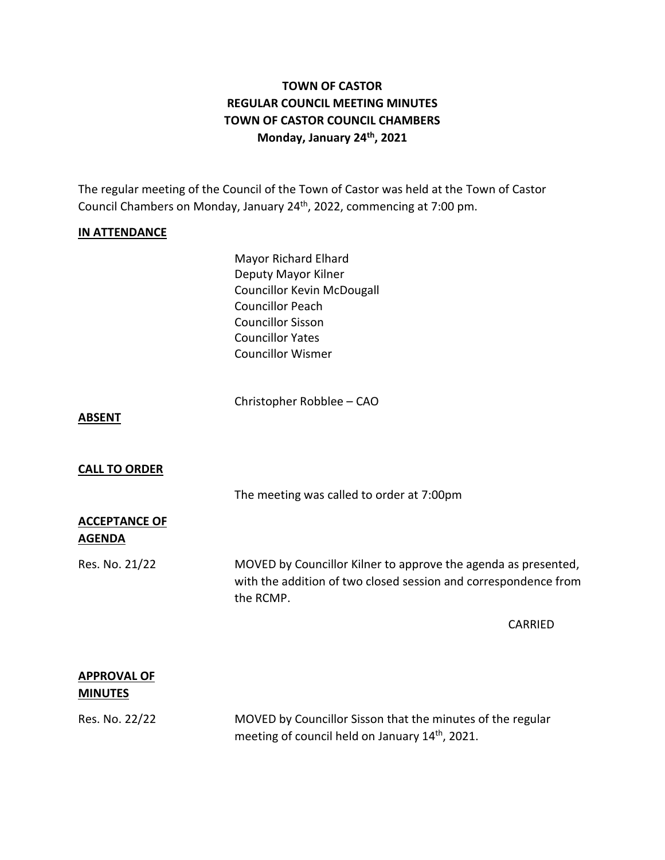# **TOWN OF CASTOR REGULAR COUNCIL MEETING MINUTES TOWN OF CASTOR COUNCIL CHAMBERS Monday, January 24th , 2021**

The regular meeting of the Council of the Town of Castor was held at the Town of Castor Council Chambers on Monday, January 24<sup>th</sup>, 2022, commencing at 7:00 pm.

## **IN ATTENDANCE**

Mayor Richard Elhard Deputy Mayor Kilner Councillor Kevin McDougall Councillor Peach Councillor Sisson Councillor Yates Councillor Wismer

Christopher Robblee – CAO

#### **ABSENT**

#### **CALL TO ORDER**

The meeting was called to order at 7:00pm

## **ACCEPTANCE OF AGENDA**

Res. No. 21/22 MOVED by Councillor Kilner to approve the agenda as presented, with the addition of two closed session and correspondence from the RCMP.

CARRIED

## **APPROVAL OF MINUTES**

Res. No. 22/22 MOVED by Councillor Sisson that the minutes of the regular meeting of council held on January 14th, 2021.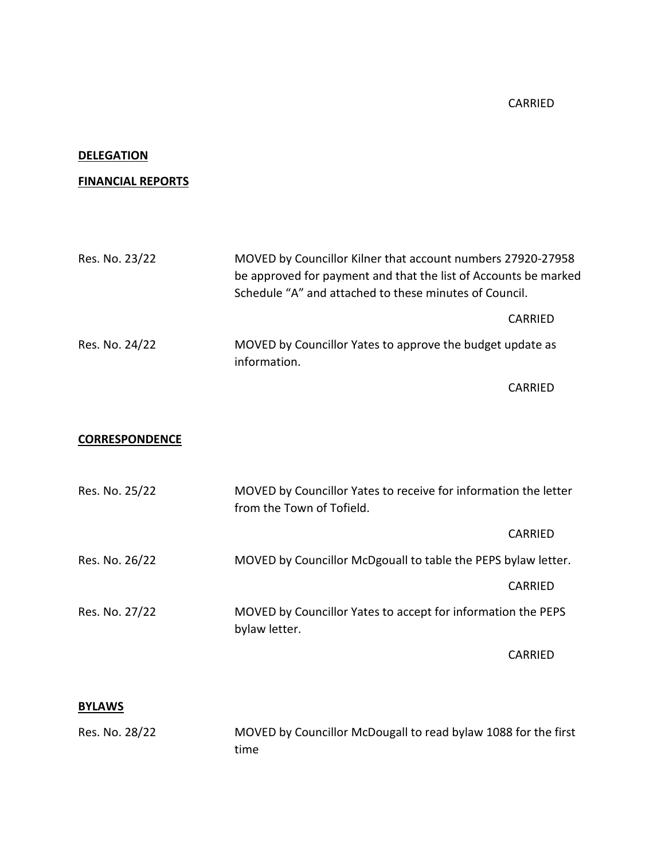# CARRIED

#### **DELEGATION**

# **FINANCIAL REPORTS**

| Res. No. 23/22        | MOVED by Councillor Kilner that account numbers 27920-27958<br>be approved for payment and that the list of Accounts be marked<br>Schedule "A" and attached to these minutes of Council. |                                                               |  |
|-----------------------|------------------------------------------------------------------------------------------------------------------------------------------------------------------------------------------|---------------------------------------------------------------|--|
|                       |                                                                                                                                                                                          | <b>CARRIED</b>                                                |  |
| Res. No. 24/22        | MOVED by Councillor Yates to approve the budget update as<br>information.                                                                                                                |                                                               |  |
|                       |                                                                                                                                                                                          | <b>CARRIED</b>                                                |  |
|                       |                                                                                                                                                                                          |                                                               |  |
| <b>CORRESPONDENCE</b> |                                                                                                                                                                                          |                                                               |  |
|                       |                                                                                                                                                                                          |                                                               |  |
| Res. No. 25/22        | MOVED by Councillor Yates to receive for information the letter<br>from the Town of Tofield.                                                                                             |                                                               |  |
|                       |                                                                                                                                                                                          | <b>CARRIED</b>                                                |  |
| Res. No. 26/22        |                                                                                                                                                                                          | MOVED by Councillor McDgouall to table the PEPS bylaw letter. |  |
|                       |                                                                                                                                                                                          | <b>CARRIED</b>                                                |  |
| Res. No. 27/22        | MOVED by Councillor Yates to accept for information the PEPS<br>bylaw letter.                                                                                                            |                                                               |  |
|                       |                                                                                                                                                                                          | <b>CARRIED</b>                                                |  |

# **BYLAWS**

Res. No. 28/22 MOVED by Councillor McDougall to read bylaw 1088 for the first time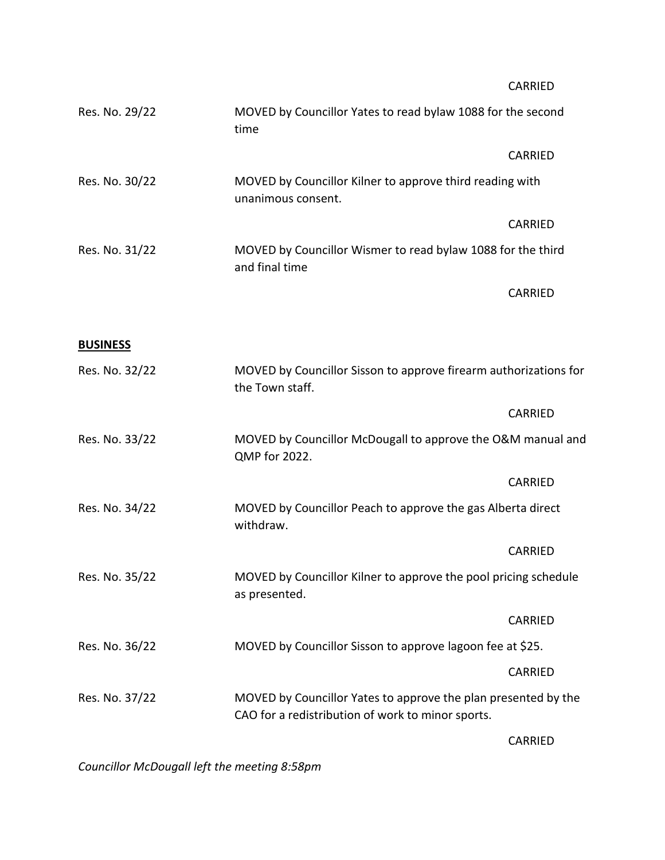|                 |                                                                                                                     | CARRIED        |  |
|-----------------|---------------------------------------------------------------------------------------------------------------------|----------------|--|
| Res. No. 29/22  | MOVED by Councillor Yates to read bylaw 1088 for the second<br>time                                                 |                |  |
|                 |                                                                                                                     | <b>CARRIED</b> |  |
| Res. No. 30/22  | MOVED by Councillor Kilner to approve third reading with<br>unanimous consent.                                      |                |  |
|                 |                                                                                                                     | <b>CARRIED</b> |  |
| Res. No. 31/22  | MOVED by Councillor Wismer to read bylaw 1088 for the third<br>and final time                                       |                |  |
|                 |                                                                                                                     | <b>CARRIED</b> |  |
|                 |                                                                                                                     |                |  |
| <b>BUSINESS</b> |                                                                                                                     |                |  |
| Res. No. 32/22  | MOVED by Councillor Sisson to approve firearm authorizations for<br>the Town staff.                                 |                |  |
|                 |                                                                                                                     | <b>CARRIED</b> |  |
| Res. No. 33/22  | MOVED by Councillor McDougall to approve the O&M manual and<br>QMP for 2022.                                        |                |  |
|                 |                                                                                                                     | <b>CARRIED</b> |  |
| Res. No. 34/22  | MOVED by Councillor Peach to approve the gas Alberta direct<br>withdraw.                                            |                |  |
|                 |                                                                                                                     | <b>CARRIED</b> |  |
| Res. No. 35/22  | MOVED by Councillor Kilner to approve the pool pricing schedule<br>as presented.                                    |                |  |
|                 |                                                                                                                     | <b>CARRIED</b> |  |
| Res. No. 36/22  | MOVED by Councillor Sisson to approve lagoon fee at \$25.                                                           |                |  |
|                 |                                                                                                                     | <b>CARRIED</b> |  |
| Res. No. 37/22  | MOVED by Councillor Yates to approve the plan presented by the<br>CAO for a redistribution of work to minor sports. |                |  |
|                 |                                                                                                                     |                |  |

CARRIED

*Councillor McDougall left the meeting 8:58pm*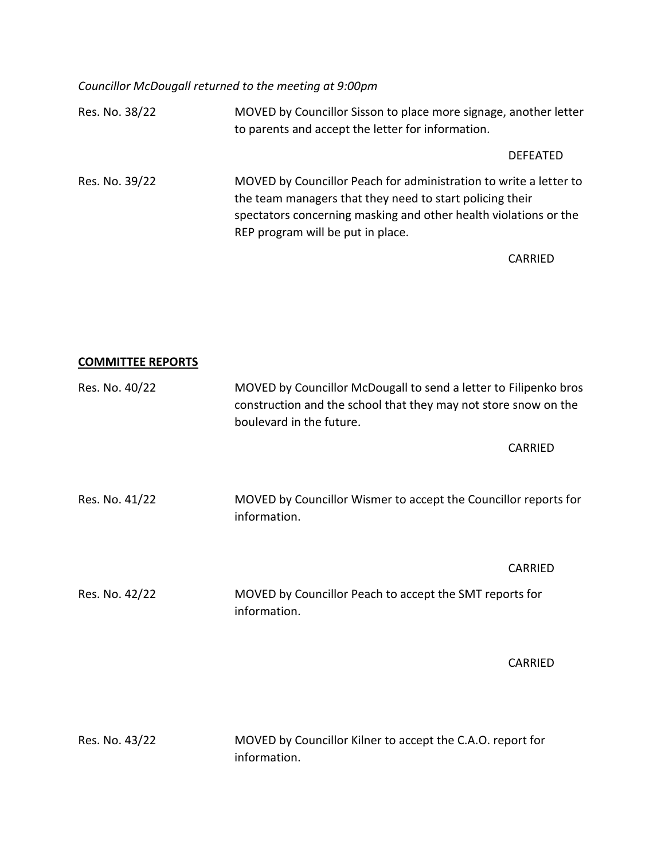*Councillor McDougall returned to the meeting at 9:00pm*

| Res. No. 38/22 | MOVED by Councillor Sisson to place more signage, another letter<br>to parents and accept the letter for information.                                                                                                                  |
|----------------|----------------------------------------------------------------------------------------------------------------------------------------------------------------------------------------------------------------------------------------|
|                | <b>DEFEATED</b>                                                                                                                                                                                                                        |
| Res. No. 39/22 | MOVED by Councillor Peach for administration to write a letter to<br>the team managers that they need to start policing their<br>spectators concerning masking and other health violations or the<br>REP program will be put in place. |
|                | CARRIED                                                                                                                                                                                                                                |

**COMMITTEE REPORTS**

| Res. No. 40/22 | MOVED by Councillor McDougall to send a letter to Filipenko bros<br>construction and the school that they may not store snow on the<br>boulevard in the future. |  |
|----------------|-----------------------------------------------------------------------------------------------------------------------------------------------------------------|--|
|                | <b>CARRIED</b>                                                                                                                                                  |  |
| Res. No. 41/22 | MOVED by Councillor Wismer to accept the Councillor reports for<br>information.                                                                                 |  |
|                | <b>CARRIED</b>                                                                                                                                                  |  |
| Res. No. 42/22 | MOVED by Councillor Peach to accept the SMT reports for<br>information.                                                                                         |  |
|                | <b>CARRIED</b>                                                                                                                                                  |  |
|                |                                                                                                                                                                 |  |

| Res. No. 43/22 | MOVED by Councillor Kilner to accept the C.A.O. report for |
|----------------|------------------------------------------------------------|
|                | information.                                               |